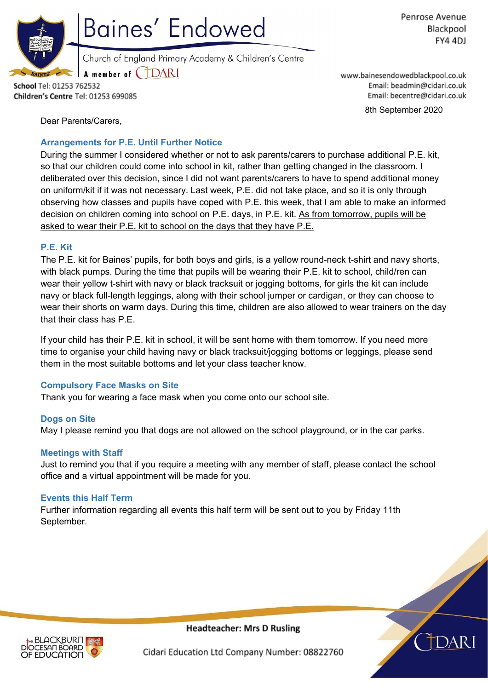

**Baines' Endowed** 

Penrose Avenue Blackpool FY4 4DJ

Church of England Primary Academy & Children's Centre

**TDARI** A member of (

School Tel: 01253 762532 Children's Centre Tel: 01253 699085 www.bainesendowedblackpool.co.uk Email: beadmin@cidari.co.uk Email: becentre@cidari.co.uk

8th September 2020

Dear Parents/Carers,

## **Arrangements for P.E. Until Further Notice**

During the summer I considered whether or not to ask parents/carers to purchase additional P.E. kit, so that our children could come into school in kit, rather than getting changed in the classroom. I deliberated over this decision, since I did not want parents/carers to have to spend additional money on uniform/kit if it was not necessary. Last week, P.E. did not take place, and so it is only through observing how classes and pupils have coped with P.E. this week, that I am able to make an informed decision on children coming into school on P.E. days, in P.E. kit. As from tomorrow, pupils will be asked to wear their P.E. kit to school on the days that they have P.E.

## **P.E. Kit**

The P.E. kit for Baines' pupils, for both boys and girls, is a yellow round-neck t-shirt and navy shorts, with black pumps. During the time that pupils will be wearing their P.E. kit to school, child/ren can wear their yellow t-shirt with navy or black tracksuit or jogging bottoms, for girls the kit can include navy or black full-length leggings, along with their school jumper or cardigan, or they can choose to wear their shorts on warm days. During this time, children are also allowed to wear trainers on the day that their class has P.E.

If your child has their P.E. kit in school, it will be sent home with them tomorrow. If you need more time to organise your child having navy or black tracksuit/jogging bottoms or leggings, please send them in the most suitable bottoms and let your class teacher know.

# **Compulsory Face Masks on Site**

Thank you for wearing a face mask when you come onto our school site.

#### **Dogs on Site**

May I please remind you that dogs are not allowed on the school playground, or in the car parks.

#### **Meetings with Staff**

Just to remind you that if you require a meeting with any member of staff, please contact the school office and a virtual appointment will be made for you.

#### **Events this Half Term**

Further information regarding all events this half term will be sent out to you by Friday 11th September.



**Headteacher: Mrs D Rusling** 

Cidari Education Ltd Company Number: 08822760